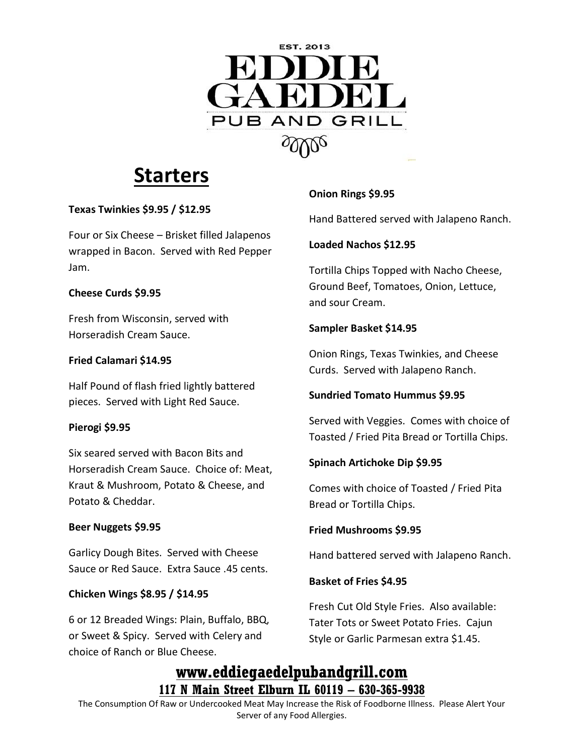

# **Starters**

# **Texas Twinkies \$9.95 / \$12.95**

Four or Six Cheese – Brisket filled Jalapenos wrapped in Bacon. Served with Red Pepper Jam.

## **Cheese Curds \$9.95**

Fresh from Wisconsin, served with Horseradish Cream Sauce.

## **Fried Calamari \$14.95**

Half Pound of flash fried lightly battered pieces. Served with Light Red Sauce.

#### **Pierogi \$9.95**

Six seared served with Bacon Bits and Horseradish Cream Sauce. Choice of: Meat, Kraut & Mushroom, Potato & Cheese, and Potato & Cheddar.

#### **Beer Nuggets \$9.95**

Garlicy Dough Bites. Served with Cheese Sauce or Red Sauce. Extra Sauce .45 cents.

#### **Chicken Wings \$8.95 / \$14.95**

6 or 12 Breaded Wings: Plain, Buffalo, BBQ, or Sweet & Spicy. Served with Celery and choice of Ranch or Blue Cheese.

# **Onion Rings \$9.95**

Hand Battered served with Jalapeno Ranch.

## **Loaded Nachos \$12.95**

Tortilla Chips Topped with Nacho Cheese, Ground Beef, Tomatoes, Onion, Lettuce, and sour Cream.

## **Sampler Basket \$14.95**

Onion Rings, Texas Twinkies, and Cheese Curds. Served with Jalapeno Ranch.

# **Sundried Tomato Hummus \$9.95**

Served with Veggies. Comes with choice of Toasted / Fried Pita Bread or Tortilla Chips.

# **Spinach Artichoke Dip \$9.95**

Comes with choice of Toasted / Fried Pita Bread or Tortilla Chips.

#### **Fried Mushrooms \$9.95**

Hand battered served with Jalapeno Ranch.

#### **Basket of Fries \$4.95**

Fresh Cut Old Style Fries. Also available: Tater Tots or Sweet Potato Fries. Cajun Style or Garlic Parmesan extra \$1.45.

# **www.eddiegaedelpubandgrill.com 117 N Main Street Elburn IL 60119 – 630-365-9938**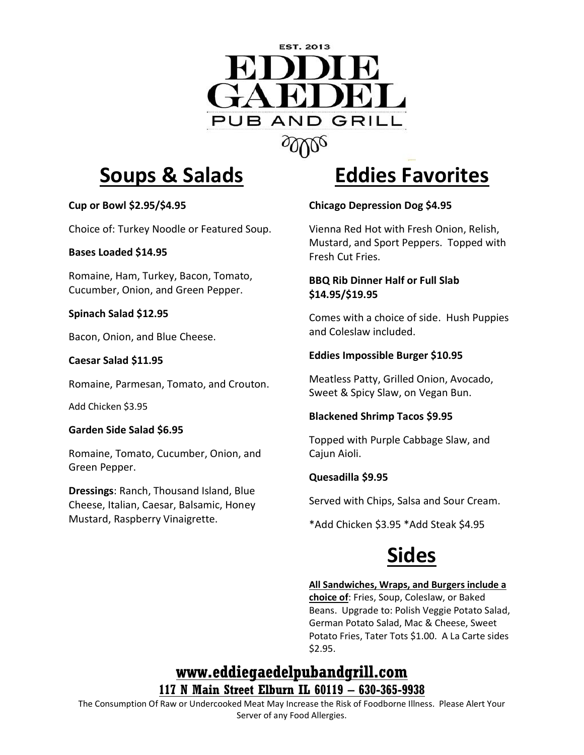

# **Soups & Salads**

## **Cup or Bowl \$2.95/\$4.95**

Choice of: Turkey Noodle or Featured Soup.

#### **Bases Loaded \$14.95**

Romaine, Ham, Turkey, Bacon, Tomato, Cucumber, Onion, and Green Pepper.

## **Spinach Salad \$12.95**

Bacon, Onion, and Blue Cheese.

## **Caesar Salad \$11.95**

Romaine, Parmesan, Tomato, and Crouton.

Add Chicken \$3.95

# **Garden Side Salad \$6.95**

Romaine, Tomato, Cucumber, Onion, and Green Pepper.

**Dressings**: Ranch, Thousand Island, Blue Cheese, Italian, Caesar, Balsamic, Honey Mustard, Raspberry Vinaigrette.

# **Eddies Favorites**

# **Chicago Depression Dog \$4.95**

Vienna Red Hot with Fresh Onion, Relish, Mustard, and Sport Peppers. Topped with Fresh Cut Fries.

# **BBQ Rib Dinner Half or Full Slab \$14.95/\$19.95**

Comes with a choice of side. Hush Puppies and Coleslaw included.

# **Eddies Impossible Burger \$10.95**

Meatless Patty, Grilled Onion, Avocado, Sweet & Spicy Slaw, on Vegan Bun.

# **Blackened Shrimp Tacos \$9.95**

Topped with Purple Cabbage Slaw, and Cajun Aioli.

# **Quesadilla \$9.95**

Served with Chips, Salsa and Sour Cream.

\*Add Chicken \$3.95 \*Add Steak \$4.95

# **Sides**

#### **All Sandwiches, Wraps, and Burgers include a**

**choice of**: Fries, Soup, Coleslaw, or Baked Beans. Upgrade to: Polish Veggie Potato Salad, German Potato Salad, Mac & Cheese, Sweet Potato Fries, Tater Tots \$1.00. A La Carte sides \$2.95.

# **www.eddiegaedelpubandgrill.com 117 N Main Street Elburn IL 60119 – 630-365-9938**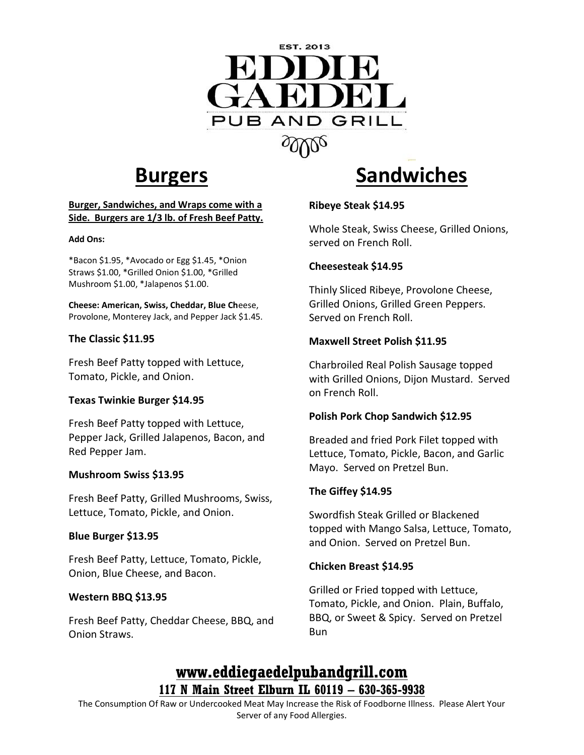

# **Burgers**

#### **Burger, Sandwiches, and Wraps come with a Side. Burgers are 1/3 lb. of Fresh Beef Patty.**

#### **Add Ons:**

\*Bacon \$1.95, \*Avocado or Egg \$1.45, \*Onion Straws \$1.00, \*Grilled Onion \$1.00, \*Grilled Mushroom \$1.00, \*Jalapenos \$1.00.

**Cheese: American, Swiss, Cheddar, Blue Ch**eese, Provolone, Monterey Jack, and Pepper Jack \$1.45.

#### **The Classic \$11.95**

Fresh Beef Patty topped with Lettuce, Tomato, Pickle, and Onion.

#### **Texas Twinkie Burger \$14.95**

Fresh Beef Patty topped with Lettuce, Pepper Jack, Grilled Jalapenos, Bacon, and Red Pepper Jam.

#### **Mushroom Swiss \$13.95**

Fresh Beef Patty, Grilled Mushrooms, Swiss, Lettuce, Tomato, Pickle, and Onion.

#### **Blue Burger \$13.95**

Fresh Beef Patty, Lettuce, Tomato, Pickle, Onion, Blue Cheese, and Bacon.

#### **Western BBQ \$13.95**

Fresh Beef Patty, Cheddar Cheese, BBQ, and Onion Straws.

# **Sandwiches**

#### **Ribeye Steak \$14.95**

Whole Steak, Swiss Cheese, Grilled Onions, served on French Roll.

#### **Cheesesteak \$14.95**

Thinly Sliced Ribeye, Provolone Cheese, Grilled Onions, Grilled Green Peppers. Served on French Roll.

#### **Maxwell Street Polish \$11.95**

Charbroiled Real Polish Sausage topped with Grilled Onions, Dijon Mustard. Served on French Roll.

#### **Polish Pork Chop Sandwich \$12.95**

Breaded and fried Pork Filet topped with Lettuce, Tomato, Pickle, Bacon, and Garlic Mayo. Served on Pretzel Bun.

#### **The Giffey \$14.95**

Swordfish Steak Grilled or Blackened topped with Mango Salsa, Lettuce, Tomato, and Onion. Served on Pretzel Bun.

#### **Chicken Breast \$14.95**

Grilled or Fried topped with Lettuce, Tomato, Pickle, and Onion. Plain, Buffalo, BBQ, or Sweet & Spicy. Served on Pretzel Bun

# **www.eddiegaedelpubandgrill.com 117 N Main Street Elburn IL 60119 – 630-365-9938**